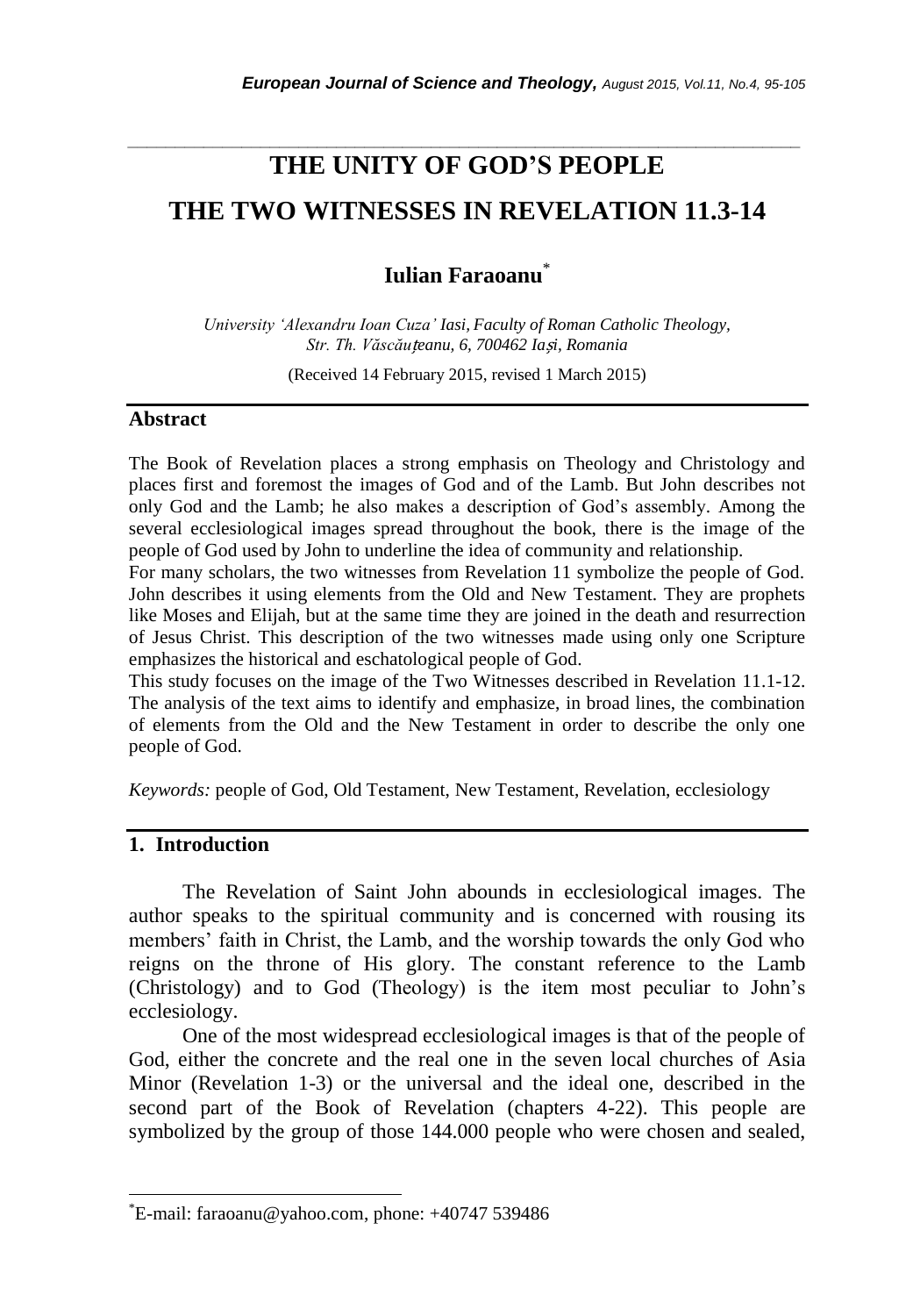# **THE UNITY OF GOD'S PEOPLE THE TWO WITNESSES IN REVELATION 11.3-14**

*\_\_\_\_\_\_\_\_\_\_\_\_\_\_\_\_\_\_\_\_\_\_\_\_\_\_\_\_\_\_\_\_\_\_\_\_\_\_\_\_\_\_\_\_\_\_\_\_\_\_\_\_\_\_\_\_\_\_\_\_\_\_\_\_\_\_\_\_\_\_\_*

**Iulian Faraoanu**\*

*University 'Alexandru Ioan Cuza' Iasi, Faculty of Roman Catholic Theology, Str. Th. Văscău*ț*eanu, 6, 700462 Ia*ș*i, Romania*

(Received 14 February 2015, revised 1 March 2015)

## **Abstract**

The Book of Revelation places a strong emphasis on Theology and Christology and places first and foremost the images of God and of the Lamb. But John describes not only God and the Lamb; he also makes a description of God"s assembly. Among the several ecclesiological images spread throughout the book, there is the image of the people of God used by John to underline the idea of community and relationship.

For many scholars, the two witnesses from Revelation 11 symbolize the people of God. John describes it using elements from the Old and New Testament. They are prophets like Moses and Elijah, but at the same time they are joined in the death and resurrection of Jesus Christ. This description of the two witnesses made using only one Scripture emphasizes the historical and eschatological people of God.

This study focuses on the image of the Two Witnesses described in Revelation 11.1-12. The analysis of the text aims to identify and emphasize, in broad lines, the combination of elements from the Old and the New Testament in order to describe the only one people of God.

*Keywords:* people of God, Old Testament, New Testament, Revelation, ecclesiology

# **1. Introduction**

l

The Revelation of Saint John abounds in ecclesiological images. The author speaks to the spiritual community and is concerned with rousing its members' faith in Christ, the Lamb, and the worship towards the only God who reigns on the throne of His glory. The constant reference to the Lamb (Christology) and to God (Theology) is the item most peculiar to John"s ecclesiology.

One of the most widespread ecclesiological images is that of the people of God, either the concrete and the real one in the seven local churches of Asia Minor (Revelation 1-3) or the universal and the ideal one, described in the second part of the Book of Revelation (chapters 4-22). This people are symbolized by the group of those 144.000 people who were chosen and sealed,

<sup>\*</sup>E-mail: faraoanu@yahoo.com, phone: +40747 539486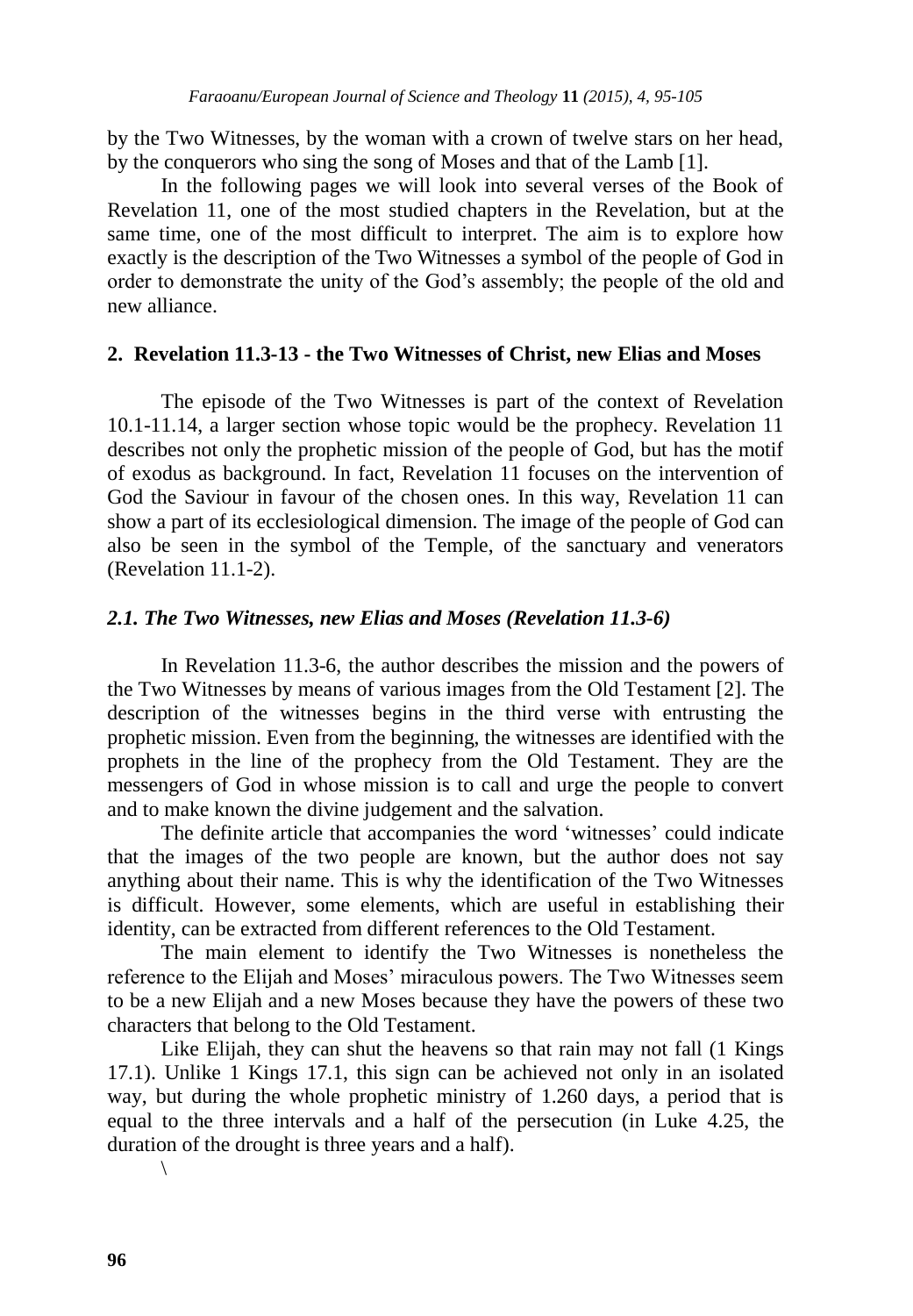by the Two Witnesses, by the woman with a crown of twelve stars on her head, by the conquerors who sing the song of Moses and that of the Lamb [1].

In the following pages we will look into several verses of the Book of Revelation 11, one of the most studied chapters in the Revelation, but at the same time, one of the most difficult to interpret. The aim is to explore how exactly is the description of the Two Witnesses a symbol of the people of God in order to demonstrate the unity of the God"s assembly; the people of the old and new alliance.

#### **2. Revelation 11.3-13 - the Two Witnesses of Christ, new Elias and Moses**

The episode of the Two Witnesses is part of the context of Revelation 10.1-11.14, a larger section whose topic would be the prophecy. Revelation 11 describes not only the prophetic mission of the people of God, but has the motif of exodus as background. In fact, Revelation 11 focuses on the intervention of God the Saviour in favour of the chosen ones. In this way, Revelation 11 can show a part of its ecclesiological dimension. The image of the people of God can also be seen in the symbol of the Temple, of the sanctuary and venerators (Revelation 11.1-2).

## *2.1. The Two Witnesses, new Elias and Moses (Revelation 11.3-6)*

In Revelation 11.3-6, the author describes the mission and the powers of the Two Witnesses by means of various images from the Old Testament [2]. The description of the witnesses begins in the third verse with entrusting the prophetic mission. Even from the beginning, the witnesses are identified with the prophets in the line of the prophecy from the Old Testament. They are the messengers of God in whose mission is to call and urge the people to convert and to make known the divine judgement and the salvation.

The definite article that accompanies the word 'witnesses' could indicate that the images of the two people are known, but the author does not say anything about their name. This is why the identification of the Two Witnesses is difficult. However, some elements, which are useful in establishing their identity, can be extracted from different references to the Old Testament.

The main element to identify the Two Witnesses is nonetheless the reference to the Elijah and Moses" miraculous powers. The Two Witnesses seem to be a new Elijah and a new Moses because they have the powers of these two characters that belong to the Old Testament.

Like Elijah, they can shut the heavens so that rain may not fall (1 Kings 17.1). Unlike 1 Kings 17.1, this sign can be achieved not only in an isolated way, but during the whole prophetic ministry of 1.260 days, a period that is equal to the three intervals and a half of the persecution (in Luke 4.25, the duration of the drought is three years and a half).

\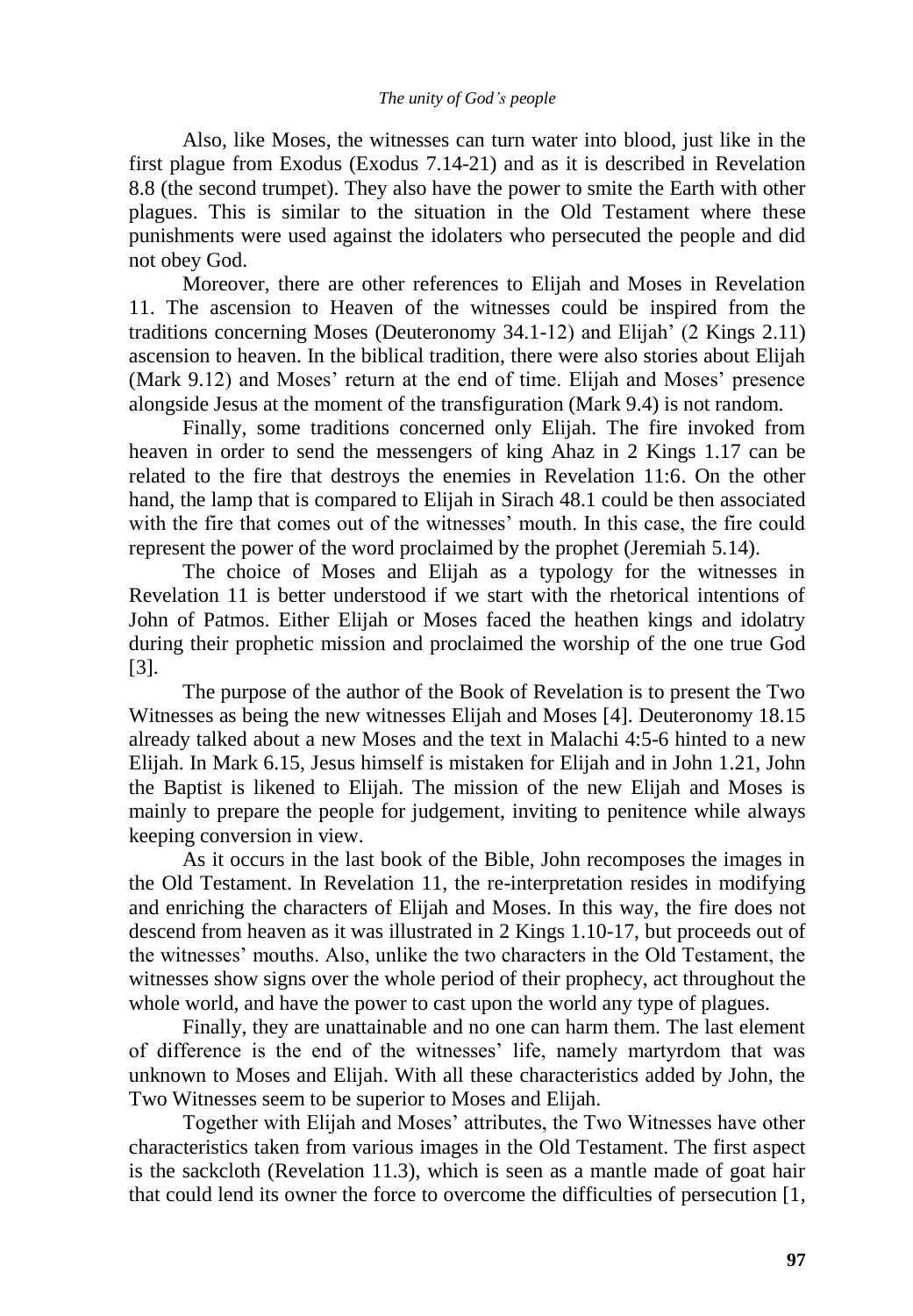Also, like Moses, the witnesses can turn water into blood, just like in the first plague from Exodus (Exodus 7.14-21) and as it is described in Revelation 8.8 (the second trumpet). They also have the power to smite the Earth with other plagues. This is similar to the situation in the Old Testament where these punishments were used against the idolaters who persecuted the people and did not obey God.

Moreover, there are other references to Elijah and Moses in Revelation 11. The ascension to Heaven of the witnesses could be inspired from the traditions concerning Moses (Deuteronomy 34.1-12) and Elijah" (2 Kings 2.11) ascension to heaven. In the biblical tradition, there were also stories about Elijah (Mark 9.12) and Moses" return at the end of time. Elijah and Moses" presence alongside Jesus at the moment of the transfiguration (Mark 9.4) is not random.

Finally, some traditions concerned only Elijah. The fire invoked from heaven in order to send the messengers of king Ahaz in 2 Kings 1.17 can be related to the fire that destroys the enemies in Revelation 11:6. On the other hand, the lamp that is compared to Elijah in Sirach 48.1 could be then associated with the fire that comes out of the witnesses' mouth. In this case, the fire could represent the power of the word proclaimed by the prophet (Jeremiah 5.14).

The choice of Moses and Elijah as a typology for the witnesses in Revelation 11 is better understood if we start with the rhetorical intentions of John of Patmos. Either Elijah or Moses faced the heathen kings and idolatry during their prophetic mission and proclaimed the worship of the one true God [3].

The purpose of the author of the Book of Revelation is to present the Two Witnesses as being the new witnesses Elijah and Moses [4]. Deuteronomy 18.15 already talked about a new Moses and the text in Malachi 4:5-6 hinted to a new Elijah. In Mark 6.15, Jesus himself is mistaken for Elijah and in John 1.21, John the Baptist is likened to Elijah. The mission of the new Elijah and Moses is mainly to prepare the people for judgement, inviting to penitence while always keeping conversion in view.

As it occurs in the last book of the Bible, John recomposes the images in the Old Testament. In Revelation 11, the re-interpretation resides in modifying and enriching the characters of Elijah and Moses. In this way, the fire does not descend from heaven as it was illustrated in 2 Kings 1.10-17, but proceeds out of the witnesses" mouths. Also, unlike the two characters in the Old Testament, the witnesses show signs over the whole period of their prophecy, act throughout the whole world, and have the power to cast upon the world any type of plagues.

Finally, they are unattainable and no one can harm them. The last element of difference is the end of the witnesses' life, namely martyrdom that was unknown to Moses and Elijah. With all these characteristics added by John, the Two Witnesses seem to be superior to Moses and Elijah.

Together with Elijah and Moses" attributes, the Two Witnesses have other characteristics taken from various images in the Old Testament. The first aspect is the sackcloth (Revelation 11.3), which is seen as a mantle made of goat hair that could lend its owner the force to overcome the difficulties of persecution [1,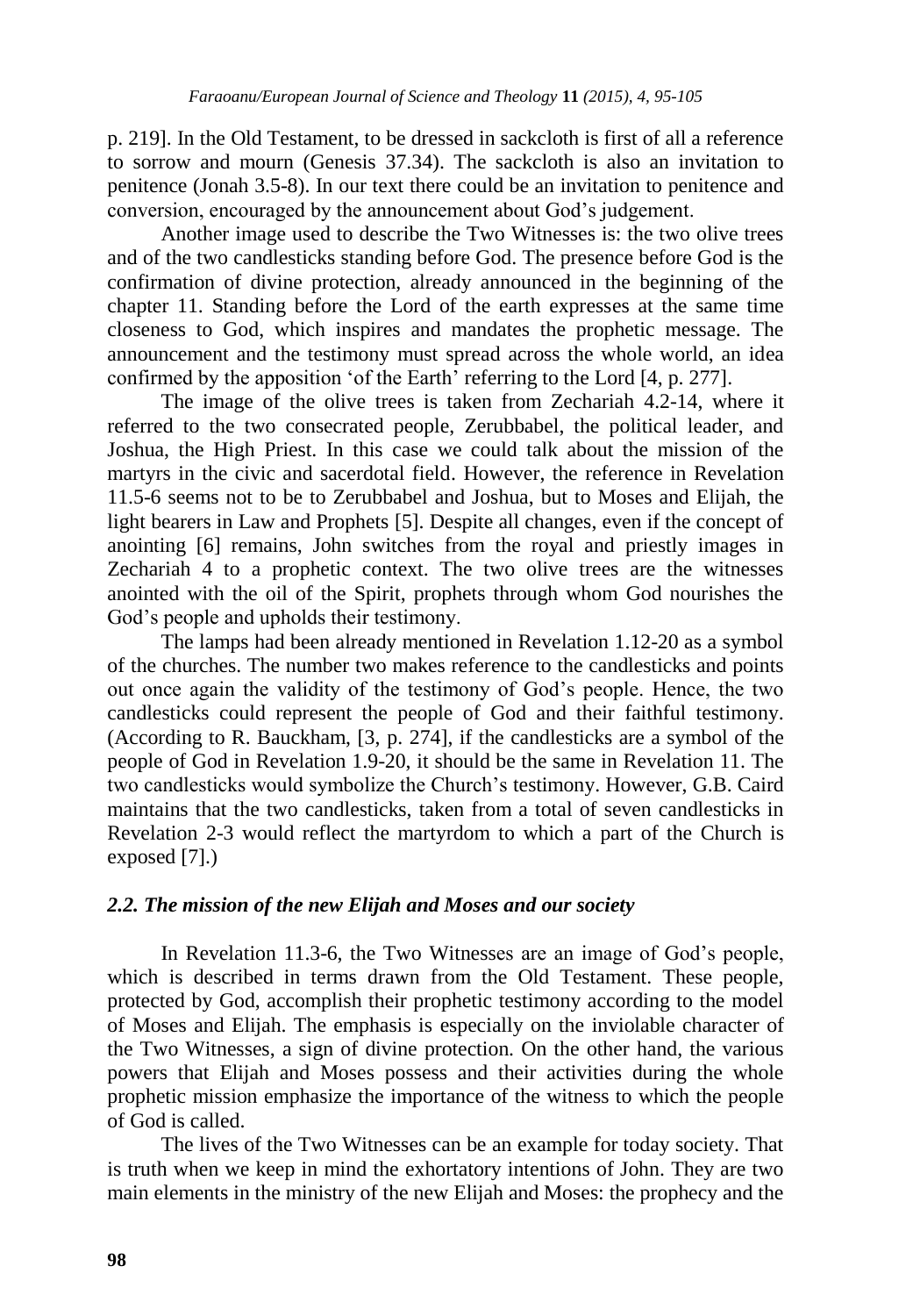p. 219]. In the Old Testament, to be dressed in sackcloth is first of all a reference to sorrow and mourn (Genesis 37.34). The sackcloth is also an invitation to penitence (Jonah 3.5-8). In our text there could be an invitation to penitence and conversion, encouraged by the announcement about God"s judgement.

Another image used to describe the Two Witnesses is: the two olive trees and of the two candlesticks standing before God. The presence before God is the confirmation of divine protection, already announced in the beginning of the chapter 11. Standing before the Lord of the earth expresses at the same time closeness to God, which inspires and mandates the prophetic message. The announcement and the testimony must spread across the whole world, an idea confirmed by the apposition "of the Earth" referring to the Lord [4, p. 277].

The image of the olive trees is taken from Zechariah 4.2-14, where it referred to the two consecrated people, Zerubbabel, the political leader, and Joshua, the High Priest. In this case we could talk about the mission of the martyrs in the civic and sacerdotal field. However, the reference in Revelation 11.5-6 seems not to be to Zerubbabel and Joshua, but to Moses and Elijah, the light bearers in Law and Prophets [5]. Despite all changes, even if the concept of anointing [6] remains, John switches from the royal and priestly images in Zechariah 4 to a prophetic context. The two olive trees are the witnesses anointed with the oil of the Spirit, prophets through whom God nourishes the God"s people and upholds their testimony.

The lamps had been already mentioned in Revelation 1.12-20 as a symbol of the churches. The number two makes reference to the candlesticks and points out once again the validity of the testimony of God"s people. Hence, the two candlesticks could represent the people of God and their faithful testimony. (According to R. Bauckham, [3, p. 274], if the candlesticks are a symbol of the people of God in Revelation 1.9-20, it should be the same in Revelation 11. The two candlesticks would symbolize the Church"s testimony. However, G.B. Caird maintains that the two candlesticks, taken from a total of seven candlesticks in Revelation 2-3 would reflect the martyrdom to which a part of the Church is exposed [7].)

## *2.2. The mission of the new Elijah and Moses and our society*

In Revelation 11.3-6, the Two Witnesses are an image of God's people, which is described in terms drawn from the Old Testament. These people, protected by God, accomplish their prophetic testimony according to the model of Moses and Elijah. The emphasis is especially on the inviolable character of the Two Witnesses, a sign of divine protection. On the other hand, the various powers that Elijah and Moses possess and their activities during the whole prophetic mission emphasize the importance of the witness to which the people of God is called.

The lives of the Two Witnesses can be an example for today society. That is truth when we keep in mind the exhortatory intentions of John. They are two main elements in the ministry of the new Elijah and Moses: the prophecy and the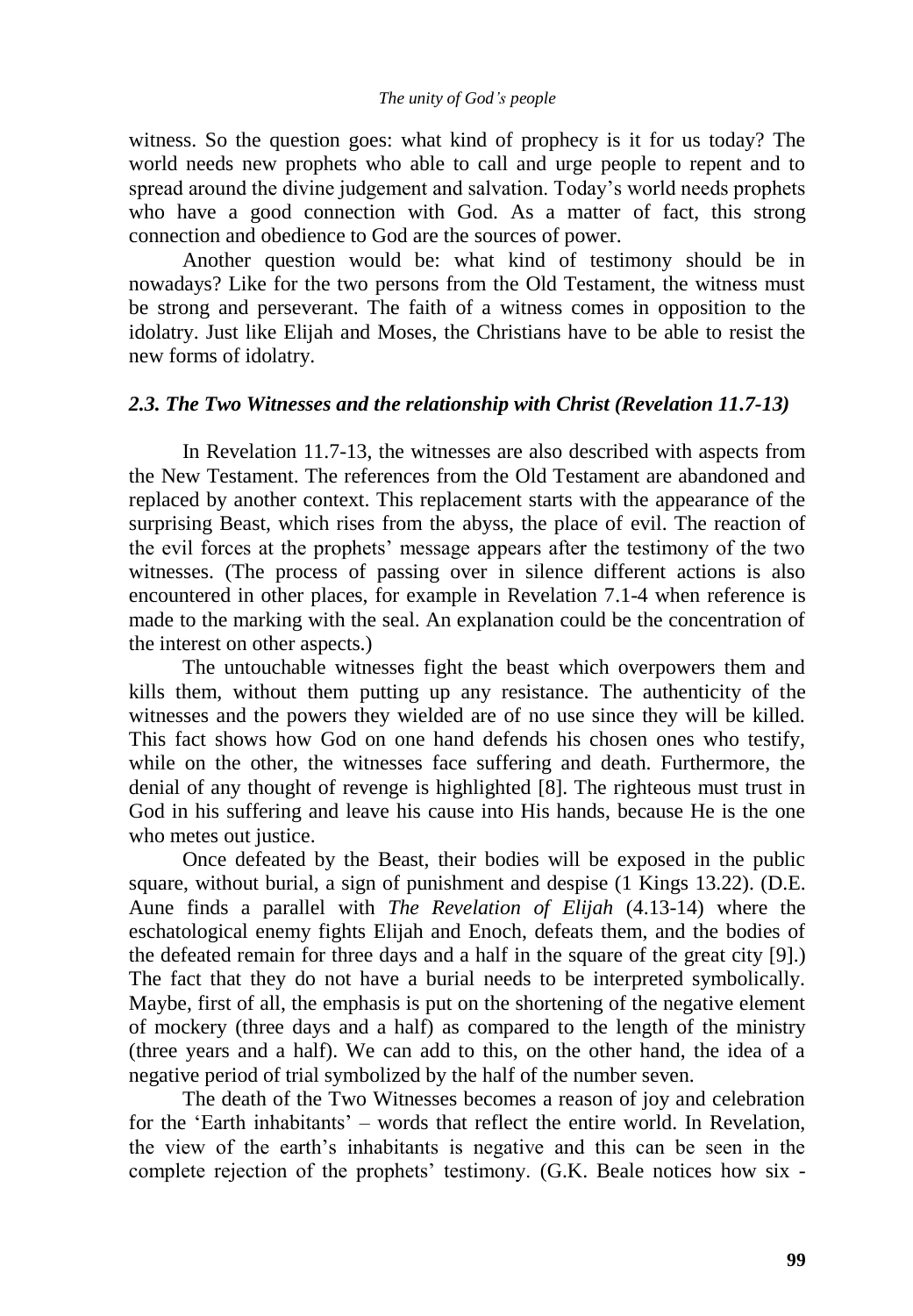witness. So the question goes: what kind of prophecy is it for us today? The world needs new prophets who able to call and urge people to repent and to spread around the divine judgement and salvation. Today"s world needs prophets who have a good connection with God. As a matter of fact, this strong connection and obedience to God are the sources of power.

Another question would be: what kind of testimony should be in nowadays? Like for the two persons from the Old Testament, the witness must be strong and perseverant. The faith of a witness comes in opposition to the idolatry. Just like Elijah and Moses, the Christians have to be able to resist the new forms of idolatry.

# *2.3. The Two Witnesses and the relationship with Christ (Revelation 11.7-13)*

In Revelation 11.7-13, the witnesses are also described with aspects from the New Testament. The references from the Old Testament are abandoned and replaced by another context. This replacement starts with the appearance of the surprising Beast, which rises from the abyss, the place of evil. The reaction of the evil forces at the prophets" message appears after the testimony of the two witnesses. (The process of passing over in silence different actions is also encountered in other places, for example in Revelation 7.1-4 when reference is made to the marking with the seal. An explanation could be the concentration of the interest on other aspects.)

The untouchable witnesses fight the beast which overpowers them and kills them, without them putting up any resistance. The authenticity of the witnesses and the powers they wielded are of no use since they will be killed. This fact shows how God on one hand defends his chosen ones who testify, while on the other, the witnesses face suffering and death. Furthermore, the denial of any thought of revenge is highlighted [8]. The righteous must trust in God in his suffering and leave his cause into His hands, because He is the one who metes out justice.

Once defeated by the Beast, their bodies will be exposed in the public square, without burial, a sign of punishment and despise (1 Kings 13.22). (D.E. Aune finds a parallel with *The Revelation of Elijah* (4.13-14) where the eschatological enemy fights Elijah and Enoch, defeats them, and the bodies of the defeated remain for three days and a half in the square of the great city [9].) The fact that they do not have a burial needs to be interpreted symbolically. Maybe, first of all, the emphasis is put on the shortening of the negative element of mockery (three days and a half) as compared to the length of the ministry (three years and a half). We can add to this, on the other hand, the idea of a negative period of trial symbolized by the half of the number seven.

The death of the Two Witnesses becomes a reason of joy and celebration for the 'Earth inhabitants' – words that reflect the entire world. In Revelation, the view of the earth"s inhabitants is negative and this can be seen in the complete rejection of the prophets' testimony. (G.K. Beale notices how six -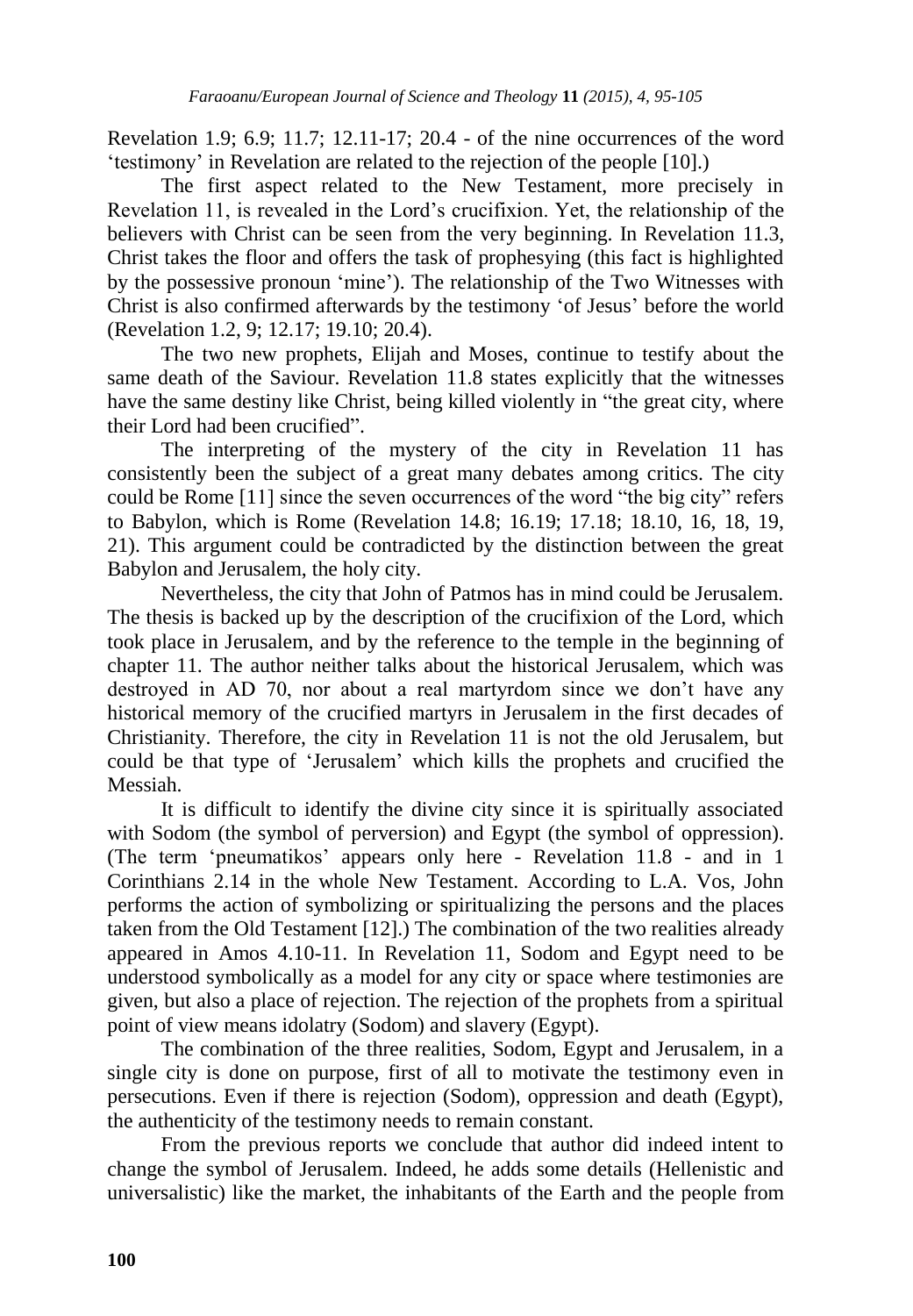Revelation 1.9; 6.9; 11.7; 12.11-17; 20.4 - of the nine occurrences of the word "testimony" in Revelation are related to the rejection of the people [10].)

The first aspect related to the New Testament, more precisely in Revelation 11, is revealed in the Lord"s crucifixion. Yet, the relationship of the believers with Christ can be seen from the very beginning. In Revelation 11.3, Christ takes the floor and offers the task of prophesying (this fact is highlighted by the possessive pronoun "mine"). The relationship of the Two Witnesses with Christ is also confirmed afterwards by the testimony "of Jesus" before the world (Revelation 1.2, 9; 12.17; 19.10; 20.4).

The two new prophets, Elijah and Moses, continue to testify about the same death of the Saviour. Revelation 11.8 states explicitly that the witnesses have the same destiny like Christ, being killed violently in "the great city, where their Lord had been crucified".

The interpreting of the mystery of the city in Revelation 11 has consistently been the subject of a great many debates among critics. The city could be Rome [11] since the seven occurrences of the word "the big city" refers to Babylon, which is Rome (Revelation 14.8; 16.19; 17.18; 18.10, 16, 18, 19, 21). This argument could be contradicted by the distinction between the great Babylon and Jerusalem, the holy city.

Nevertheless, the city that John of Patmos has in mind could be Jerusalem. The thesis is backed up by the description of the crucifixion of the Lord, which took place in Jerusalem, and by the reference to the temple in the beginning of chapter 11. The author neither talks about the historical Jerusalem, which was destroyed in AD 70, nor about a real martyrdom since we don't have any historical memory of the crucified martyrs in Jerusalem in the first decades of Christianity. Therefore, the city in Revelation 11 is not the old Jerusalem, but could be that type of "Jerusalem" which kills the prophets and crucified the Messiah.

It is difficult to identify the divine city since it is spiritually associated with Sodom (the symbol of perversion) and Egypt (the symbol of oppression). (The term "pneumatikos" appears only here - Revelation 11.8 - and in 1 Corinthians 2.14 in the whole New Testament. According to L.A. Vos, John performs the action of symbolizing or spiritualizing the persons and the places taken from the Old Testament [12].) The combination of the two realities already appeared in Amos 4.10-11. In Revelation 11, Sodom and Egypt need to be understood symbolically as a model for any city or space where testimonies are given, but also a place of rejection. The rejection of the prophets from a spiritual point of view means idolatry (Sodom) and slavery (Egypt).

The combination of the three realities, Sodom, Egypt and Jerusalem, in a single city is done on purpose, first of all to motivate the testimony even in persecutions. Even if there is rejection (Sodom), oppression and death (Egypt), the authenticity of the testimony needs to remain constant.

From the previous reports we conclude that author did indeed intent to change the symbol of Jerusalem. Indeed, he adds some details (Hellenistic and universalistic) like the market, the inhabitants of the Earth and the people from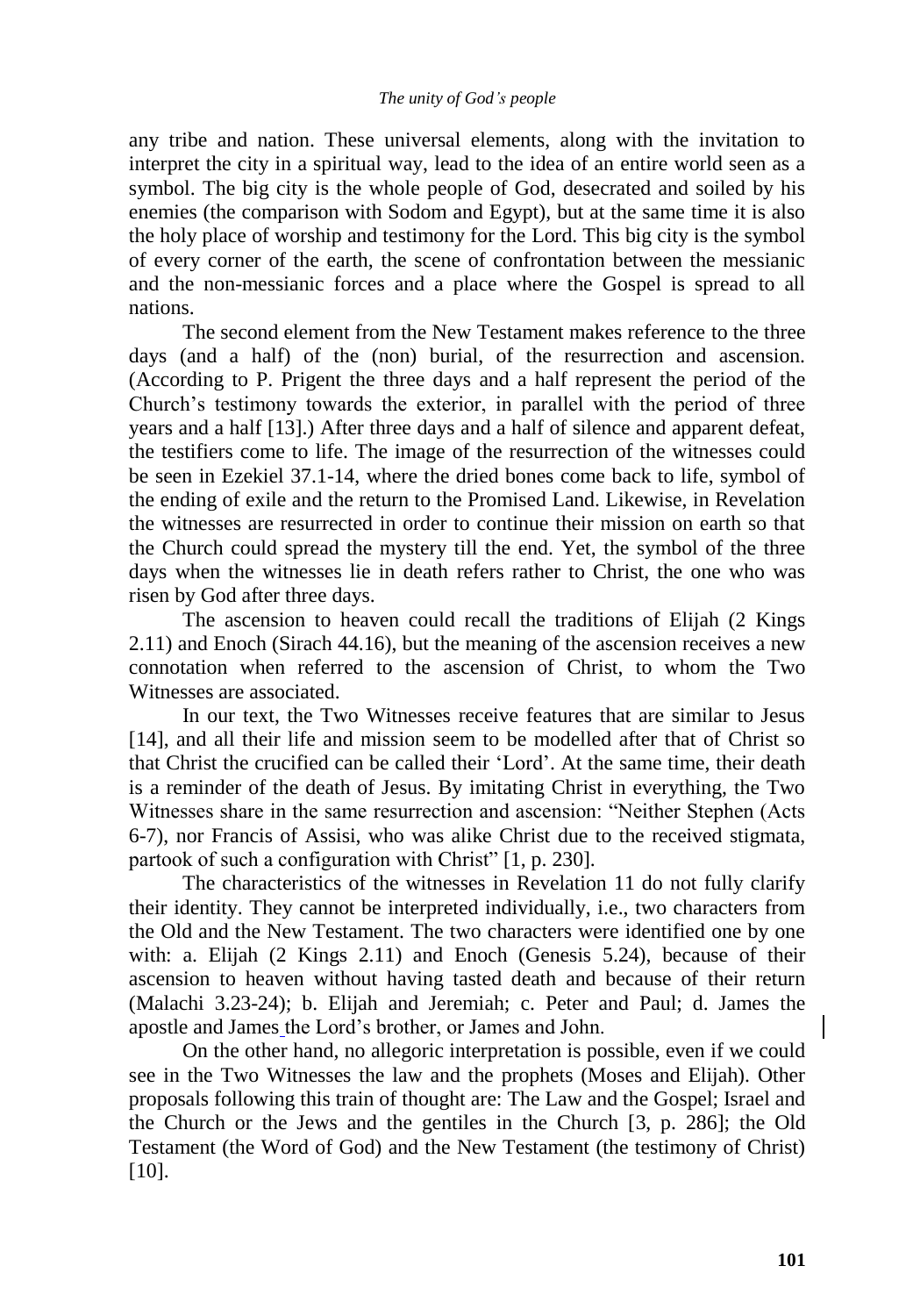any tribe and nation. These universal elements, along with the invitation to interpret the city in a spiritual way, lead to the idea of an entire world seen as a symbol. The big city is the whole people of God, desecrated and soiled by his enemies (the comparison with Sodom and Egypt), but at the same time it is also the holy place of worship and testimony for the Lord. This big city is the symbol of every corner of the earth, the scene of confrontation between the messianic and the non-messianic forces and a place where the Gospel is spread to all nations.

The second element from the New Testament makes reference to the three days (and a half) of the (non) burial, of the resurrection and ascension. (According to P. Prigent the three days and a half represent the period of the Church"s testimony towards the exterior, in parallel with the period of three years and a half [13].) After three days and a half of silence and apparent defeat, the testifiers come to life. The image of the resurrection of the witnesses could be seen in Ezekiel 37.1-14, where the dried bones come back to life, symbol of the ending of exile and the return to the Promised Land. Likewise, in Revelation the witnesses are resurrected in order to continue their mission on earth so that the Church could spread the mystery till the end. Yet, the symbol of the three days when the witnesses lie in death refers rather to Christ, the one who was risen by God after three days.

The ascension to heaven could recall the traditions of Elijah (2 Kings 2.11) and Enoch (Sirach 44.16), but the meaning of the ascension receives a new connotation when referred to the ascension of Christ, to whom the Two Witnesses are associated.

In our text, the Two Witnesses receive features that are similar to Jesus [14], and all their life and mission seem to be modelled after that of Christ so that Christ the crucified can be called their "Lord". At the same time, their death is a reminder of the death of Jesus. By imitating Christ in everything, the Two Witnesses share in the same resurrection and ascension: "Neither Stephen (Acts 6-7), nor Francis of Assisi, who was alike Christ due to the received stigmata, partook of such a configuration with Christ" [1, p. 230].

The characteristics of the witnesses in Revelation 11 do not fully clarify their identity. They cannot be interpreted individually, i.e., two characters from the Old and the New Testament. The two characters were identified one by one with: a. Elijah (2 Kings 2.11) and Enoch (Genesis 5.24), because of their ascension to heaven without having tasted death and because of their return (Malachi 3.23-24); b. Elijah and Jeremiah; c. Peter and Paul; d. James the apostle and James the Lord"s brother, or James and John.

On the other hand, no allegoric interpretation is possible, even if we could see in the Two Witnesses the law and the prophets (Moses and Elijah). Other proposals following this train of thought are: The Law and the Gospel; Israel and the Church or the Jews and the gentiles in the Church [3, p. 286]; the Old Testament (the Word of God) and the New Testament (the testimony of Christ) [10].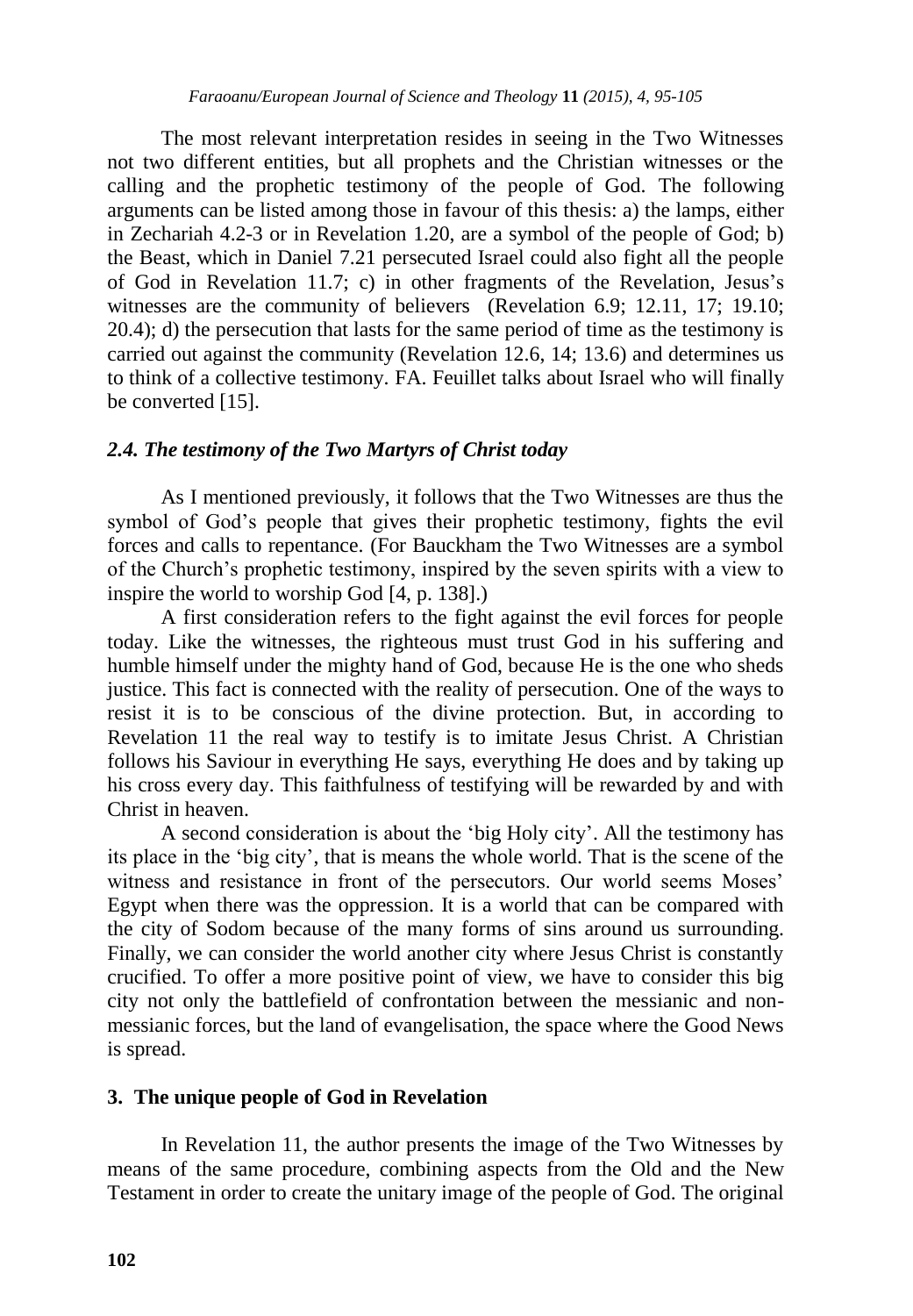The most relevant interpretation resides in seeing in the Two Witnesses not two different entities, but all prophets and the Christian witnesses or the calling and the prophetic testimony of the people of God. The following arguments can be listed among those in favour of this thesis: a) the lamps, either in Zechariah 4.2-3 or in Revelation 1.20, are a symbol of the people of God; b) the Beast, which in Daniel 7.21 persecuted Israel could also fight all the people of God in Revelation 11.7; c) in other fragments of the Revelation, Jesus"s witnesses are the community of believers (Revelation 6.9; 12.11, 17; 19.10; 20.4); d) the persecution that lasts for the same period of time as the testimony is carried out against the community (Revelation 12.6, 14; 13.6) and determines us to think of a collective testimony. FA. Feuillet talks about Israel who will finally be converted [15].

### *2.4. The testimony of the Two Martyrs of Christ today*

As I mentioned previously, it follows that the Two Witnesses are thus the symbol of God's people that gives their prophetic testimony, fights the evil forces and calls to repentance. (For Bauckham the Two Witnesses are a symbol of the Church"s prophetic testimony, inspired by the seven spirits with a view to inspire the world to worship God [4, p. 138].)

A first consideration refers to the fight against the evil forces for people today. Like the witnesses, the righteous must trust God in his suffering and humble himself under the mighty hand of God, because He is the one who sheds justice. This fact is connected with the reality of persecution. One of the ways to resist it is to be conscious of the divine protection. But, in according to Revelation 11 the real way to testify is to imitate Jesus Christ. A Christian follows his Saviour in everything He says, everything He does and by taking up his cross every day. This faithfulness of testifying will be rewarded by and with Christ in heaven.

A second consideration is about the "big Holy city". All the testimony has its place in the "big city", that is means the whole world. That is the scene of the witness and resistance in front of the persecutors. Our world seems Moses' Egypt when there was the oppression. It is a world that can be compared with the city of Sodom because of the many forms of sins around us surrounding. Finally, we can consider the world another city where Jesus Christ is constantly crucified. To offer a more positive point of view, we have to consider this big city not only the battlefield of confrontation between the messianic and nonmessianic forces, but the land of evangelisation, the space where the Good News is spread.

#### **3. The unique people of God in Revelation**

In Revelation 11, the author presents the image of the Two Witnesses by means of the same procedure, combining aspects from the Old and the New Testament in order to create the unitary image of the people of God. The original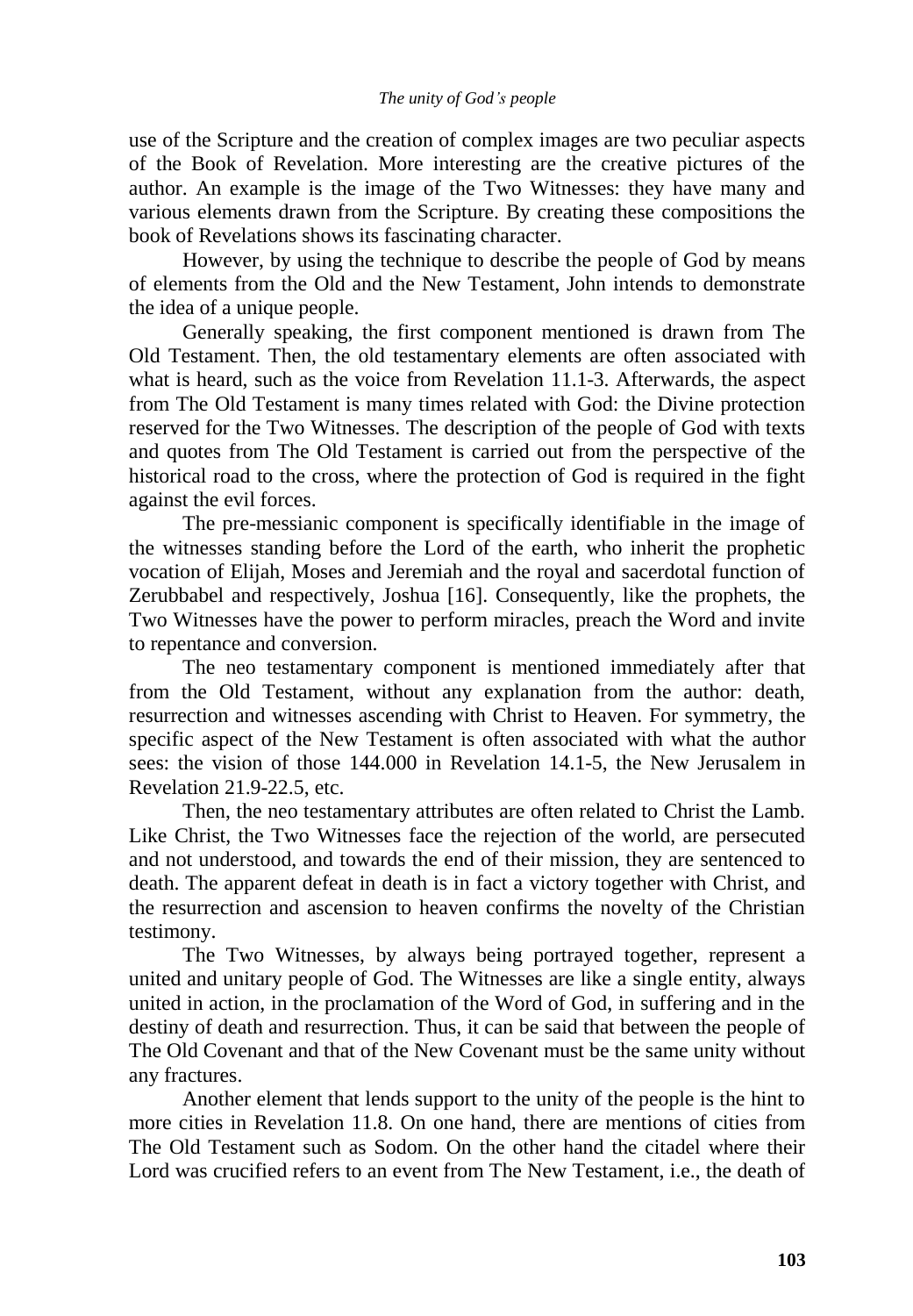use of the Scripture and the creation of complex images are two peculiar aspects of the Book of Revelation. More interesting are the creative pictures of the author. An example is the image of the Two Witnesses: they have many and various elements drawn from the Scripture. By creating these compositions the book of Revelations shows its fascinating character.

However, by using the technique to describe the people of God by means of elements from the Old and the New Testament, John intends to demonstrate the idea of a unique people.

Generally speaking, the first component mentioned is drawn from The Old Testament. Then, the old testamentary elements are often associated with what is heard, such as the voice from Revelation 11.1-3. Afterwards, the aspect from The Old Testament is many times related with God: the Divine protection reserved for the Two Witnesses. The description of the people of God with texts and quotes from The Old Testament is carried out from the perspective of the historical road to the cross, where the protection of God is required in the fight against the evil forces.

The pre-messianic component is specifically identifiable in the image of the witnesses standing before the Lord of the earth, who inherit the prophetic vocation of Elijah, Moses and Jeremiah and the royal and sacerdotal function of Zerubbabel and respectively, Joshua [16]. Consequently, like the prophets, the Two Witnesses have the power to perform miracles, preach the Word and invite to repentance and conversion.

The neo testamentary component is mentioned immediately after that from the Old Testament, without any explanation from the author: death, resurrection and witnesses ascending with Christ to Heaven. For symmetry, the specific aspect of the New Testament is often associated with what the author sees: the vision of those 144.000 in Revelation 14.1-5, the New Jerusalem in Revelation 21.9-22.5, etc.

Then, the neo testamentary attributes are often related to Christ the Lamb. Like Christ, the Two Witnesses face the rejection of the world, are persecuted and not understood, and towards the end of their mission, they are sentenced to death. The apparent defeat in death is in fact a victory together with Christ, and the resurrection and ascension to heaven confirms the novelty of the Christian testimony.

The Two Witnesses, by always being portrayed together, represent a united and unitary people of God. The Witnesses are like a single entity, always united in action, in the proclamation of the Word of God, in suffering and in the destiny of death and resurrection. Thus, it can be said that between the people of The Old Covenant and that of the New Covenant must be the same unity without any fractures.

Another element that lends support to the unity of the people is the hint to more cities in Revelation 11.8. On one hand, there are mentions of cities from The Old Testament such as Sodom. On the other hand the citadel where their Lord was crucified refers to an event from The New Testament, i.e., the death of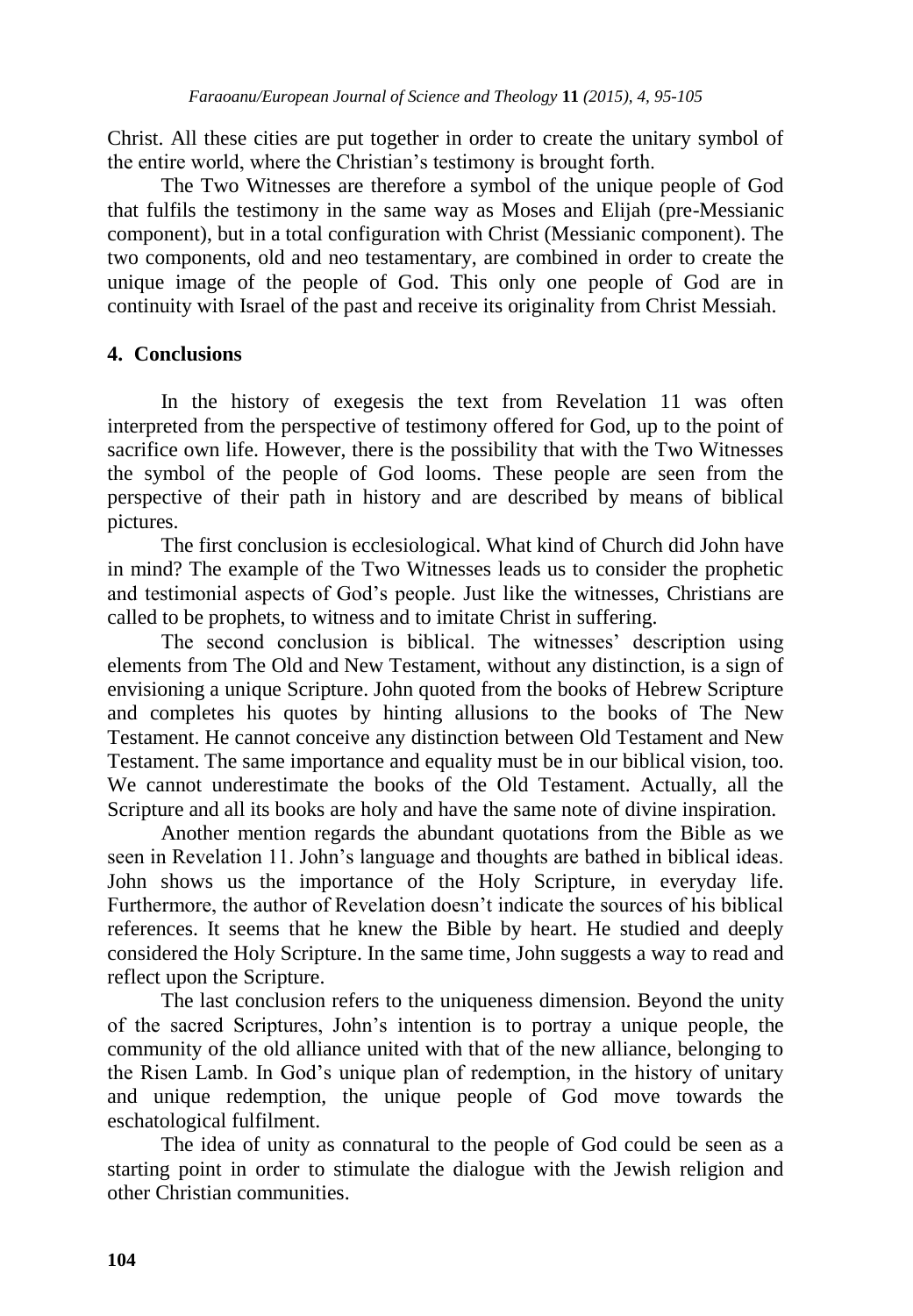Christ. All these cities are put together in order to create the unitary symbol of the entire world, where the Christian"s testimony is brought forth.

The Two Witnesses are therefore a symbol of the unique people of God that fulfils the testimony in the same way as Moses and Elijah (pre-Messianic component), but in a total configuration with Christ (Messianic component). The two components, old and neo testamentary, are combined in order to create the unique image of the people of God. This only one people of God are in continuity with Israel of the past and receive its originality from Christ Messiah.

# **4. Conclusions**

In the history of exegesis the text from Revelation 11 was often interpreted from the perspective of testimony offered for God, up to the point of sacrifice own life. However, there is the possibility that with the Two Witnesses the symbol of the people of God looms. These people are seen from the perspective of their path in history and are described by means of biblical pictures.

The first conclusion is ecclesiological. What kind of Church did John have in mind? The example of the Two Witnesses leads us to consider the prophetic and testimonial aspects of God"s people. Just like the witnesses, Christians are called to be prophets, to witness and to imitate Christ in suffering.

The second conclusion is biblical. The witnesses' description using elements from The Old and New Testament, without any distinction, is a sign of envisioning a unique Scripture. John quoted from the books of Hebrew Scripture and completes his quotes by hinting allusions to the books of The New Testament. He cannot conceive any distinction between Old Testament and New Testament. The same importance and equality must be in our biblical vision, too. We cannot underestimate the books of the Old Testament. Actually, all the Scripture and all its books are holy and have the same note of divine inspiration.

Another mention regards the abundant quotations from the Bible as we seen in Revelation 11. John"s language and thoughts are bathed in biblical ideas. John shows us the importance of the Holy Scripture, in everyday life. Furthermore, the author of Revelation doesn"t indicate the sources of his biblical references. It seems that he knew the Bible by heart. He studied and deeply considered the Holy Scripture. In the same time, John suggests a way to read and reflect upon the Scripture.

The last conclusion refers to the uniqueness dimension. Beyond the unity of the sacred Scriptures, John"s intention is to portray a unique people, the community of the old alliance united with that of the new alliance, belonging to the Risen Lamb. In God"s unique plan of redemption, in the history of unitary and unique redemption, the unique people of God move towards the eschatological fulfilment.

The idea of unity as connatural to the people of God could be seen as a starting point in order to stimulate the dialogue with the Jewish religion and other Christian communities.